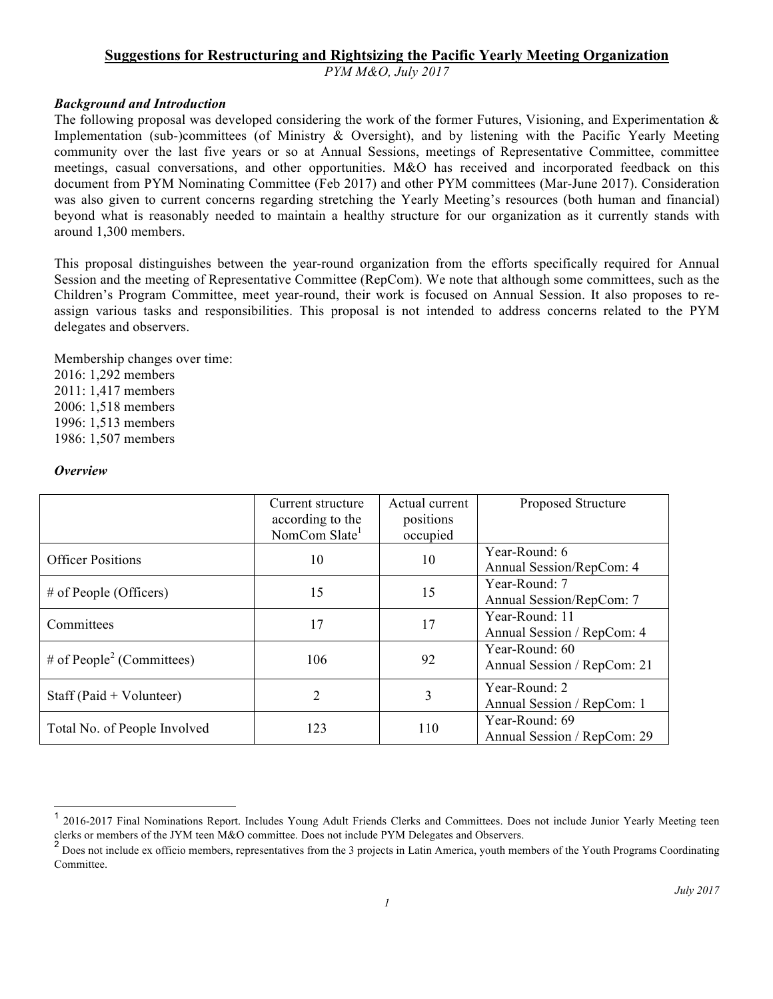# **Suggestions for Restructuring and Rightsizing the Pacific Yearly Meeting Organization**

*PYM M&O, July 2017*

## *Background and Introduction*

The following proposal was developed considering the work of the former Futures, Visioning, and Experimentation  $\&$ Implementation (sub-)committees (of Ministry & Oversight), and by listening with the Pacific Yearly Meeting community over the last five years or so at Annual Sessions, meetings of Representative Committee, committee meetings, casual conversations, and other opportunities. M&O has received and incorporated feedback on this document from PYM Nominating Committee (Feb 2017) and other PYM committees (Mar-June 2017). Consideration was also given to current concerns regarding stretching the Yearly Meeting's resources (both human and financial) beyond what is reasonably needed to maintain a healthy structure for our organization as it currently stands with around 1,300 members.

This proposal distinguishes between the year-round organization from the efforts specifically required for Annual Session and the meeting of Representative Committee (RepCom). We note that although some committees, such as the Children's Program Committee, meet year-round, their work is focused on Annual Session. It also proposes to reassign various tasks and responsibilities. This proposal is not intended to address concerns related to the PYM delegates and observers.

Membership changes over time: 2016: 1,292 members 2011: 1,417 members 2006: 1,518 members 1996: 1,513 members 1986: 1,507 members

#### *Overview*

|                                       | Current structure<br>according to the<br>NomCom Slate <sup>1</sup> | Actual current<br>positions<br>occupied | <b>Proposed Structure</b>                     |
|---------------------------------------|--------------------------------------------------------------------|-----------------------------------------|-----------------------------------------------|
| <b>Officer Positions</b>              | 10                                                                 | 10                                      | Year-Round: 6<br>Annual Session/RepCom: 4     |
| $#$ of People (Officers)              | 15                                                                 | 15                                      | Year-Round: 7<br>Annual Session/RepCom: 7     |
| Committees                            | 17                                                                 | 17                                      | Year-Round: 11<br>Annual Session / RepCom: 4  |
| # of People <sup>2</sup> (Committees) | 106                                                                | 92                                      | Year-Round: 60<br>Annual Session / RepCom: 21 |
| Staff (Paid + Volunteer)              | $\overline{c}$                                                     | 3                                       | Year-Round: 2<br>Annual Session / RepCom: 1   |
| Total No. of People Involved          | 123                                                                | 110                                     | Year-Round: 69<br>Annual Session / RepCom: 29 |

 <sup>1</sup> 2016-2017 Final Nominations Report. Includes Young Adult Friends Clerks and Committees. Does not include Junior Yearly Meeting teen clerks or members of the JYM teen M&O committee. Does not include PYM Delegates and Observers.

 $<sup>2</sup>$  Does not include ex officio members, representatives from the 3 projects in Latin America, youth members of the Youth Programs Coordinating</sup> Committee.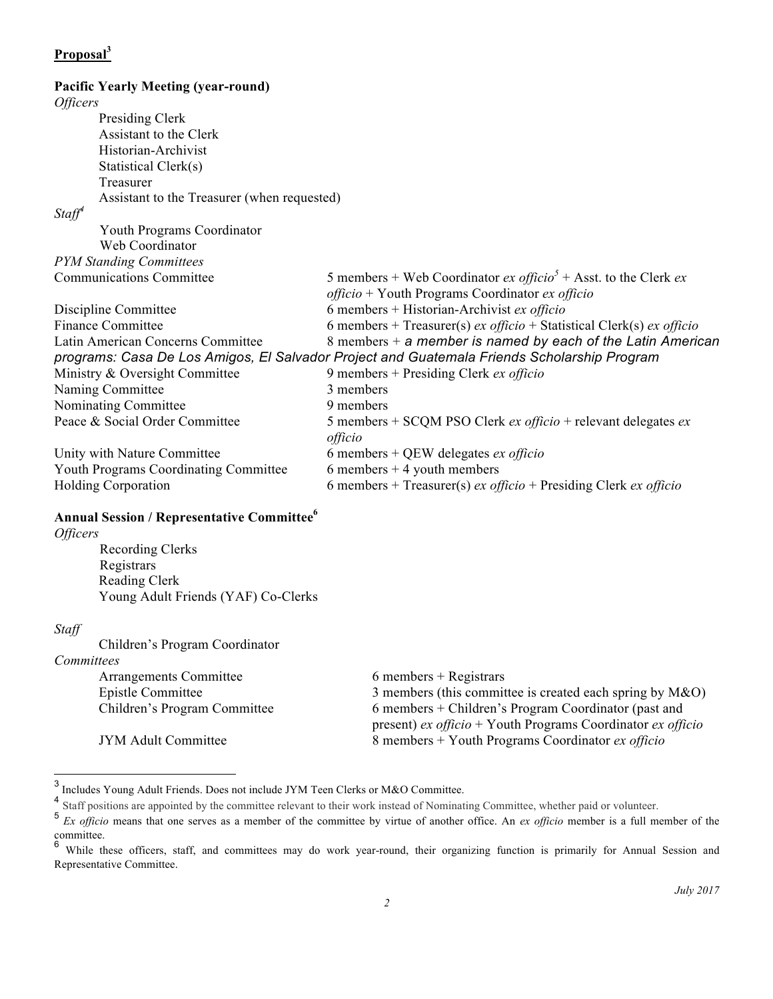# **Proposal<sup>3</sup> Pacific Yearly Meeting (year-round)** *Officers* Presiding Clerk Assistant to the Clerk Historian-Archivist Statistical Clerk(s) Treasurer Assistant to the Treasurer (when requested) *Staff<sup>4</sup>* Youth Programs Coordinator Web Coordinator *PYM Standing Committees* Communications Committee 5 members + Web Coordinator  $ex\ of\ ficio^5$  + Asst. to the Clerk  $ex$ *officio* + Youth Programs Coordinator *ex officio* Discipline Committee 6 members + Historian-Archivist *ex officio* Finance Committee 6 members + Treasurer(s) *ex officio* + Statistical Clerk(s) *ex officio* Latin American Concerns Committee 8 members + *a member is named by each of the Latin American programs: Casa De Los Amigos, El Salvador Project and Guatemala Friends Scholarship Program* Ministry & Oversight Committee 9 members + Presiding Clerk *ex officio* Naming Committee 3 members Nominating Committee 9 members Peace & Social Order Committee 5 members + SCQM PSO Clerk *ex officio* + relevant delegates *ex officio* Unity with Nature Committee 6 members + QEW delegates *ex officio*

Youth Programs Coordinating Committee  $\qquad 6$  members + 4 youth members Holding Corporation 6 members + Treasurer(s) *ex officio* + Presiding Clerk *ex officio*

## **Annual Session / Representative Committee6**

*Officers*

Recording Clerks **Registrars** Reading Clerk Young Adult Friends (YAF) Co-Clerks

#### *Staff*

Children's Program Coordinator *Committees*

| ,,,,,,,,,,,,                  |                                                             |
|-------------------------------|-------------------------------------------------------------|
| <b>Arrangements Committee</b> | $6$ members + Registrars                                    |
| Epistle Committee             | 3 members (this committee is created each spring by $M&O$ ) |
| Children's Program Committee  | 6 members + Children's Program Coordinator (past and        |
|                               | present) ex officio + Youth Programs Coordinator ex officio |
| <b>JYM Adult Committee</b>    | 8 members + Youth Programs Coordinator ex officio           |

 <sup>3</sup> Includes Young Adult Friends. Does not include JYM Teen Clerks or M&O Committee.

<sup>&</sup>lt;sup>4</sup> Staff positions are appointed by the committee relevant to their work instead of Nominating Committee, whether paid or volunteer.

<sup>&</sup>lt;sup>5</sup> *Ex officio* means that one serves as a member of the committee by virtue of another office. An *ex officio* member is a full member of the committee.

While these officers, staff, and committees may do work year-round, their organizing function is primarily for Annual Session and Representative Committee.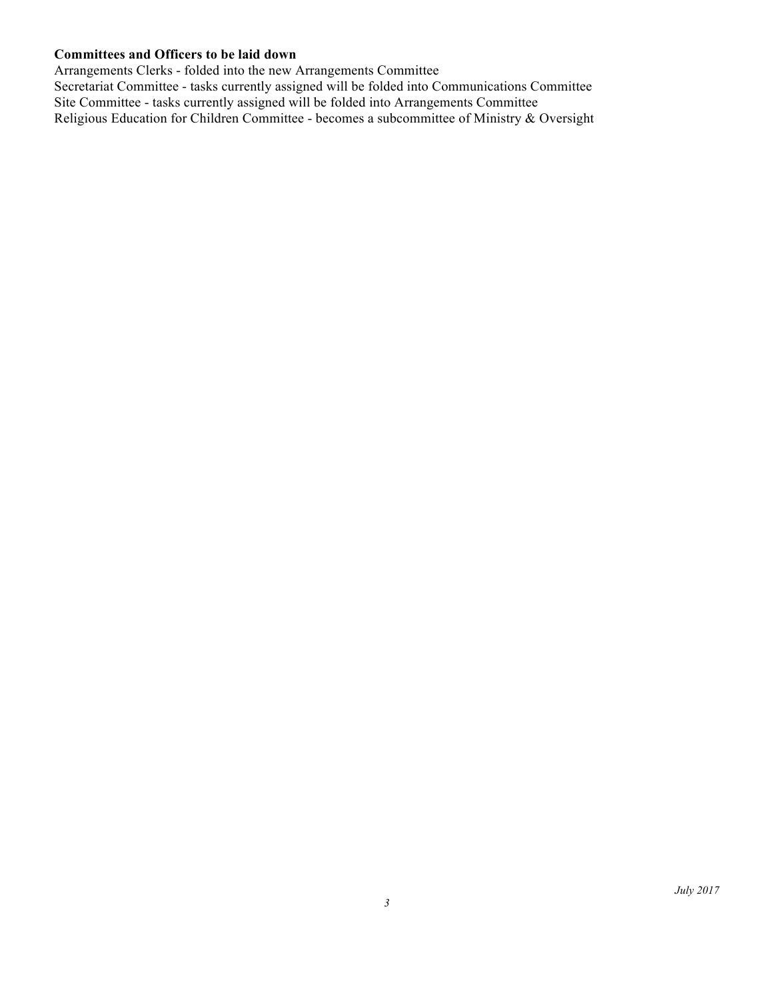# **Committees and Officers to be laid down**

Arrangements Clerks - folded into the new Arrangements Committee Secretariat Committee - tasks currently assigned will be folded into Communications Committee Site Committee - tasks currently assigned will be folded into Arrangements Committee Religious Education for Children Committee - becomes a subcommittee of Ministry & Oversight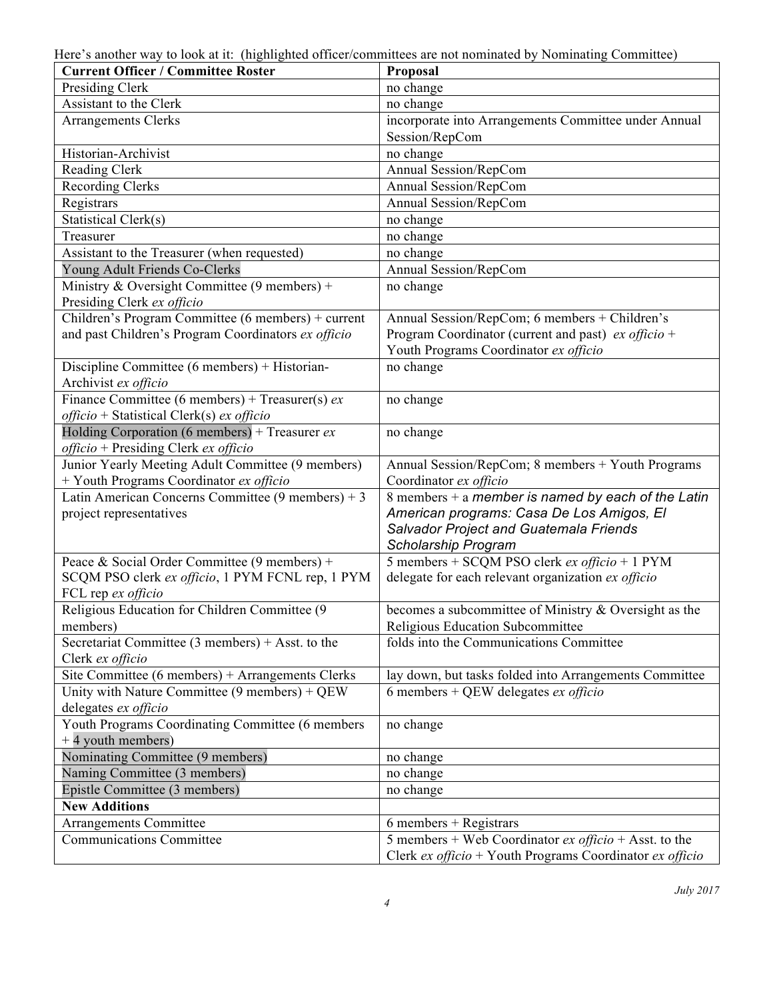Here's another way to look at it: (highlighted officer/committees are not nominated by Nominating Committee)

| <b>Current Officer / Committee Roster</b>                                                        | Proposal                                                     |  |  |
|--------------------------------------------------------------------------------------------------|--------------------------------------------------------------|--|--|
| Presiding Clerk                                                                                  | no change                                                    |  |  |
| Assistant to the Clerk                                                                           | no change                                                    |  |  |
| <b>Arrangements Clerks</b>                                                                       | incorporate into Arrangements Committee under Annual         |  |  |
|                                                                                                  | Session/RepCom                                               |  |  |
| Historian-Archivist                                                                              | no change                                                    |  |  |
| Reading Clerk                                                                                    | Annual Session/RepCom                                        |  |  |
| <b>Recording Clerks</b>                                                                          | Annual Session/RepCom                                        |  |  |
| Registrars                                                                                       | Annual Session/RepCom                                        |  |  |
| <b>Statistical Clerk(s)</b>                                                                      | no change                                                    |  |  |
| Treasurer                                                                                        | no change                                                    |  |  |
| Assistant to the Treasurer (when requested)                                                      | no change                                                    |  |  |
| Young Adult Friends Co-Clerks                                                                    | Annual Session/RepCom                                        |  |  |
| Ministry & Oversight Committee (9 members) +                                                     | no change                                                    |  |  |
| Presiding Clerk ex officio                                                                       |                                                              |  |  |
| Children's Program Committee (6 members) + current                                               | Annual Session/RepCom; 6 members + Children's                |  |  |
| and past Children's Program Coordinators ex officio                                              | Program Coordinator (current and past) $ex$ officio +        |  |  |
|                                                                                                  | Youth Programs Coordinator ex officio                        |  |  |
| Discipline Committee (6 members) + Historian-                                                    | no change                                                    |  |  |
| Archivist ex officio                                                                             |                                                              |  |  |
| Finance Committee (6 members) + Treasurer(s) $ex$                                                | no change                                                    |  |  |
| <i>officio</i> + Statistical Clerk(s) $ex$ <i>officio</i>                                        |                                                              |  |  |
| Holding Corporation (6 members) + Treasurer $ex$                                                 | no change                                                    |  |  |
| <i>officio</i> + Presiding Clerk $ex$ <i>officio</i>                                             |                                                              |  |  |
| Junior Yearly Meeting Adult Committee (9 members)                                                | Annual Session/RepCom; 8 members + Youth Programs            |  |  |
| + Youth Programs Coordinator ex officio                                                          | Coordinator ex officio                                       |  |  |
| Latin American Concerns Committee $(9 \text{ members}) + 3$                                      | 8 members + $a$ member is named by each of the Latin         |  |  |
| project representatives                                                                          | American programs: Casa De Los Amigos, El                    |  |  |
|                                                                                                  | Salvador Project and Guatemala Friends                       |  |  |
|                                                                                                  | Scholarship Program                                          |  |  |
| Peace & Social Order Committee (9 members) +<br>SCQM PSO clerk ex officio, 1 PYM FCNL rep, 1 PYM | 5 members + SCQM PSO clerk ex officio + 1 PYM                |  |  |
| FCL rep ex officio                                                                               | delegate for each relevant organization ex officio           |  |  |
| Religious Education for Children Committee (9                                                    | becomes a subcommittee of Ministry & Oversight as the        |  |  |
| members)                                                                                         | Religious Education Subcommittee                             |  |  |
| Secretariat Committee (3 members) + Asst. to the                                                 | folds into the Communications Committee                      |  |  |
| Clerk ex officio                                                                                 |                                                              |  |  |
| Site Committee (6 members) + Arrangements Clerks                                                 | lay down, but tasks folded into Arrangements Committee       |  |  |
| Unity with Nature Committee $(9 \text{ members}) + QEW$                                          | 6 members + QEW delegates $ex$ officio                       |  |  |
| delegates ex officio                                                                             |                                                              |  |  |
| Youth Programs Coordinating Committee (6 members                                                 | no change                                                    |  |  |
| +4 youth members)                                                                                |                                                              |  |  |
| Nominating Committee (9 members)                                                                 | no change                                                    |  |  |
| Naming Committee (3 members)                                                                     | no change                                                    |  |  |
| Epistle Committee (3 members)                                                                    | no change                                                    |  |  |
| <b>New Additions</b>                                                                             |                                                              |  |  |
| Arrangements Committee                                                                           | $6$ members + Registrars                                     |  |  |
| <b>Communications Committee</b>                                                                  | 5 members + Web Coordinator $ex$ officio + Asst. to the      |  |  |
|                                                                                                  | Clerk $ex$ officio + Youth Programs Coordinator $ex$ officio |  |  |